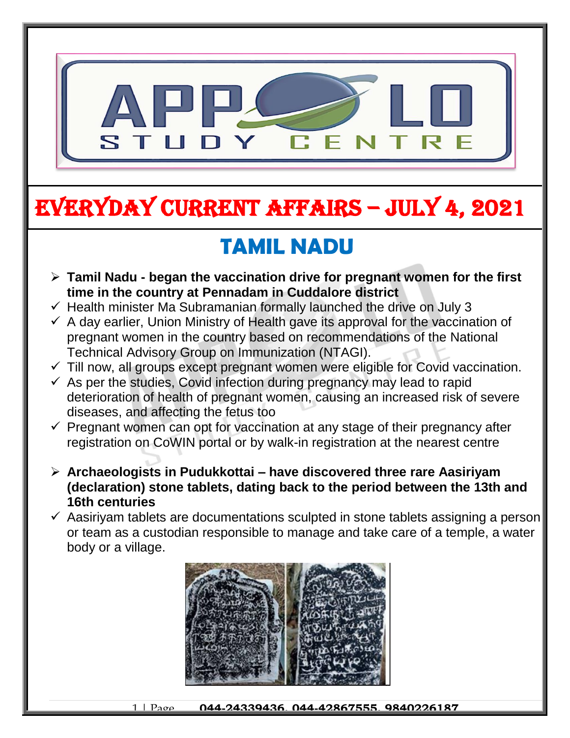

# EVERYDAY CURRENT AFFAIRS – jULY 4, 2021

## **TAMIL NADU**

- **Tamil Nadu - began the vaccination drive for pregnant women for the first time in the country at Pennadam in Cuddalore district**
- $\checkmark$  Health minister Ma Subramanian formally launched the drive on July 3

-

- $\checkmark$  A day earlier, Union Ministry of Health gave its approval for the vaccination of pregnant women in the country based on recommendations of the National Technical Advisory Group on Immunization (NTAGI).
- $\checkmark$  Till now, all groups except pregnant women were eligible for Covid vaccination.
- $\checkmark$  As per the studies, Covid infection during pregnancy may lead to rapid deterioration of health of pregnant women, causing an increased risk of severe diseases, and affecting the fetus too
- $\checkmark$  Pregnant women can opt for vaccination at any stage of their pregnancy after registration on CoWIN portal or by walk-in registration at the nearest centre
- **Archaeologists in Pudukkottai – have discovered three rare Aasiriyam (declaration) stone tablets, dating back to the period between the 13th and 16th centuries**
- $\checkmark$  Aasiriyam tablets are documentations sculpted in stone tablets assigning a person or team as a custodian responsible to manage and take care of a temple, a water body or a village.



1 | Page **044-24339436, 044-42867555, 9840226187**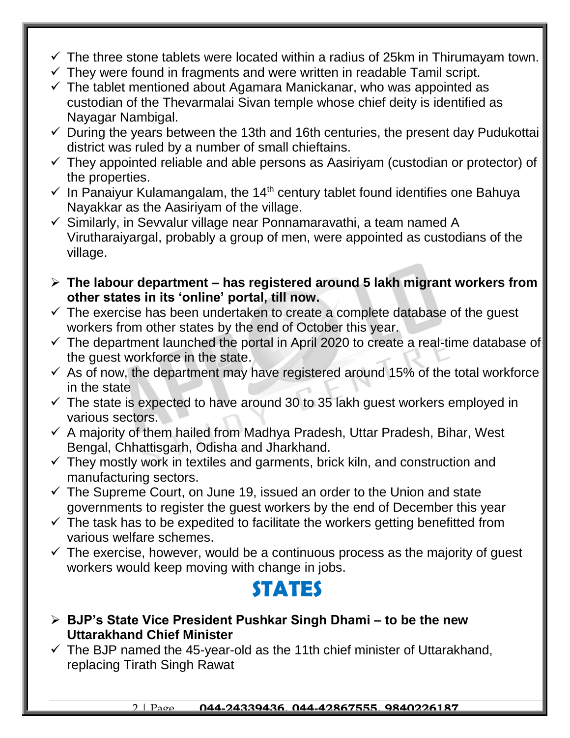- $\checkmark$  The three stone tablets were located within a radius of 25km in Thirumayam town.
- $\checkmark$  They were found in fragments and were written in readable Tamil script.
- $\checkmark$  The tablet mentioned about Agamara Manickanar, who was appointed as custodian of the Thevarmalai Sivan temple whose chief deity is identified as Nayagar Nambigal.
- $\checkmark$  During the years between the 13th and 16th centuries, the present day Pudukottai district was ruled by a number of small chieftains.
- $\checkmark$  They appointed reliable and able persons as Aasiriyam (custodian or protector) of the properties.
- $\checkmark$  In Panaiyur Kulamangalam, the 14<sup>th</sup> century tablet found identifies one Bahuya Nayakkar as the Aasiriyam of the village.
- $\checkmark$  Similarly, in Sevvalur village near Ponnamaravathi, a team named A Virutharaiyargal, probably a group of men, were appointed as custodians of the village.
- **The labour department – has registered around 5 lakh migrant workers from other states in its 'online' portal, till now.**
- $\checkmark$  The exercise has been undertaken to create a complete database of the guest workers from other states by the end of October this year.
- $\checkmark$  The department launched the portal in April 2020 to create a real-time database of the guest workforce in the state.
- $\checkmark$  As of now, the department may have registered around 15% of the total workforce in the state
- $\checkmark$  The state is expected to have around 30 to 35 lakh guest workers employed in various sectors.
- $\checkmark$  A majority of them hailed from Madhya Pradesh, Uttar Pradesh, Bihar, West Bengal, Chhattisgarh, Odisha and Jharkhand.
- $\checkmark$  They mostly work in textiles and garments, brick kiln, and construction and manufacturing sectors.
- $\checkmark$  The Supreme Court, on June 19, issued an order to the Union and state governments to register the guest workers by the end of December this year
- $\checkmark$  The task has to be expedited to facilitate the workers getting benefitted from various welfare schemes.
- $\checkmark$  The exercise, however, would be a continuous process as the majority of guest workers would keep moving with change in jobs.

#### **STATES**

- **BJP's State Vice President Pushkar Singh Dhami – to be the new Uttarakhand Chief Minister**
- $\checkmark$  The BJP named the 45-year-old as the 11th chief minister of Uttarakhand, replacing Tirath Singh Rawat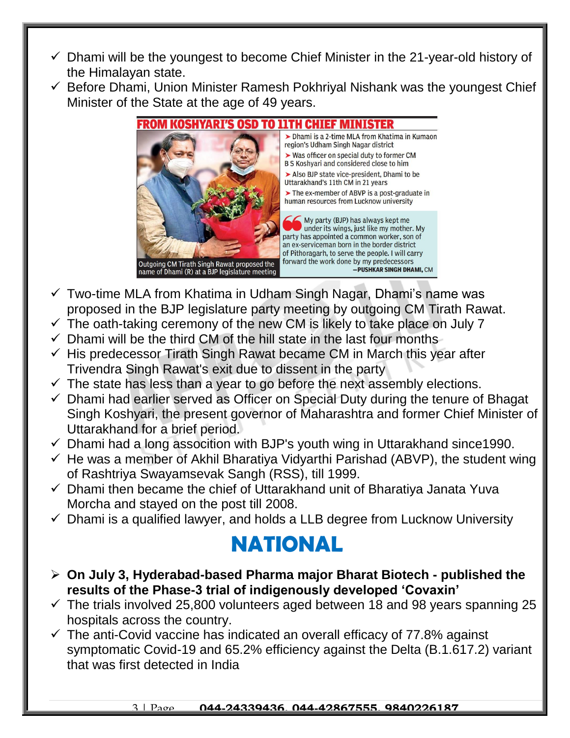- $\checkmark$  Dhami will be the youngest to become Chief Minister in the 21-year-old history of the Himalayan state.
- $\checkmark$  Before Dhami, Union Minister Ramesh Pokhriyal Nishank was the youngest Chief Minister of the State at the age of 49 years.



- $\checkmark$  Two-time MLA from Khatima in Udham Singh Nagar, Dhami's name was proposed in the BJP legislature party meeting by outgoing CM Tirath Rawat.
- $\checkmark$  The oath-taking ceremony of the new CM is likely to take place on July 7
- $\checkmark$  Dhami will be the third CM of the hill state in the last four months
- $\checkmark$  His predecessor Tirath Singh Rawat became CM in March this year after Trivendra Singh Rawat's exit due to dissent in the party
- $\checkmark$  The state has less than a year to go before the next assembly elections.
- $\checkmark$  Dhami had earlier served as Officer on Special Duty during the tenure of Bhagat Singh Koshyari, the present governor of Maharashtra and former Chief Minister of Uttarakhand for a brief period.
- $\checkmark$  Dhami had a long assocition with BJP's youth wing in Uttarakhand since 1990.
- $\checkmark$  He was a member of Akhil Bharatiya Vidyarthi Parishad (ABVP), the student wing of Rashtriya Swayamsevak Sangh (RSS), till 1999.
- $\checkmark$  Dhami then became the chief of Uttarakhand unit of Bharatiya Janata Yuva Morcha and stayed on the post till 2008.
- $\checkmark$  Dhami is a qualified lawyer, and holds a LLB degree from Lucknow University

### **NATIONAL**

- **On July 3, Hyderabad-based Pharma major Bharat Biotech - published the results of the Phase-3 trial of indigenously developed 'Covaxin'**
- $\checkmark$  The trials involved 25,800 volunteers aged between 18 and 98 years spanning 25 hospitals across the country.
- $\checkmark$  The anti-Covid vaccine has indicated an overall efficacy of 77.8% against symptomatic Covid-19 and 65.2% efficiency against the Delta (B.1.617.2) variant that was first detected in India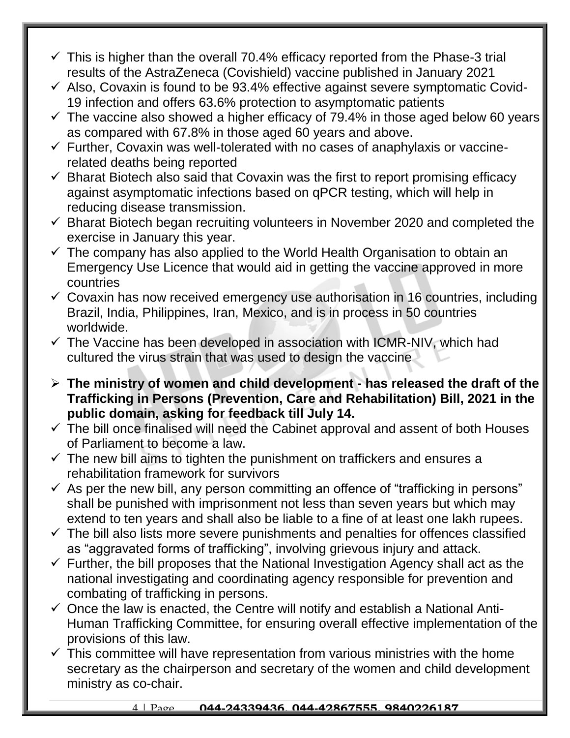- $\checkmark$  This is higher than the overall 70.4% efficacy reported from the Phase-3 trial results of the AstraZeneca (Covishield) vaccine published in January 2021
- $\checkmark$  Also, Covaxin is found to be 93.4% effective against severe symptomatic Covid-19 infection and offers 63.6% protection to asymptomatic patients
- $\checkmark$  The vaccine also showed a higher efficacy of 79.4% in those aged below 60 years as compared with 67.8% in those aged 60 years and above.
- $\checkmark$  Further, Covaxin was well-tolerated with no cases of anaphylaxis or vaccinerelated deaths being reported
- $\checkmark$  Bharat Biotech also said that Covaxin was the first to report promising efficacy against asymptomatic infections based on qPCR testing, which will help in reducing disease transmission.
- $\checkmark$  Bharat Biotech began recruiting volunteers in November 2020 and completed the exercise in January this year.
- $\checkmark$  The company has also applied to the World Health Organisation to obtain an Emergency Use Licence that would aid in getting the vaccine approved in more countries
- $\checkmark$  Covaxin has now received emergency use authorisation in 16 countries, including Brazil, India, Philippines, Iran, Mexico, and is in process in 50 countries worldwide.
- $\checkmark$  The Vaccine has been developed in association with ICMR-NIV, which had cultured the virus strain that was used to design the vaccine
- **The ministry of women and child development - has released the draft of the Trafficking in Persons (Prevention, Care and Rehabilitation) Bill, 2021 in the public domain, asking for feedback till July 14.**
- $\checkmark$  The bill once finalised will need the Cabinet approval and assent of both Houses of Parliament to become a law.
- $\checkmark$  The new bill aims to tighten the punishment on traffickers and ensures a rehabilitation framework for survivors
- $\checkmark$  As per the new bill, any person committing an offence of "trafficking in persons" shall be punished with imprisonment not less than seven years but which may extend to ten years and shall also be liable to a fine of at least one lakh rupees.
- $\checkmark$  The bill also lists more severe punishments and penalties for offences classified as "aggravated forms of trafficking", involving grievous injury and attack.
- $\checkmark$  Further, the bill proposes that the National Investigation Agency shall act as the national investigating and coordinating agency responsible for prevention and combating of trafficking in persons.
- $\checkmark$  Once the law is enacted, the Centre will notify and establish a National Anti-Human Trafficking Committee, for ensuring overall effective implementation of the provisions of this law.
- $\checkmark$  This committee will have representation from various ministries with the home secretary as the chairperson and secretary of the women and child development ministry as co-chair.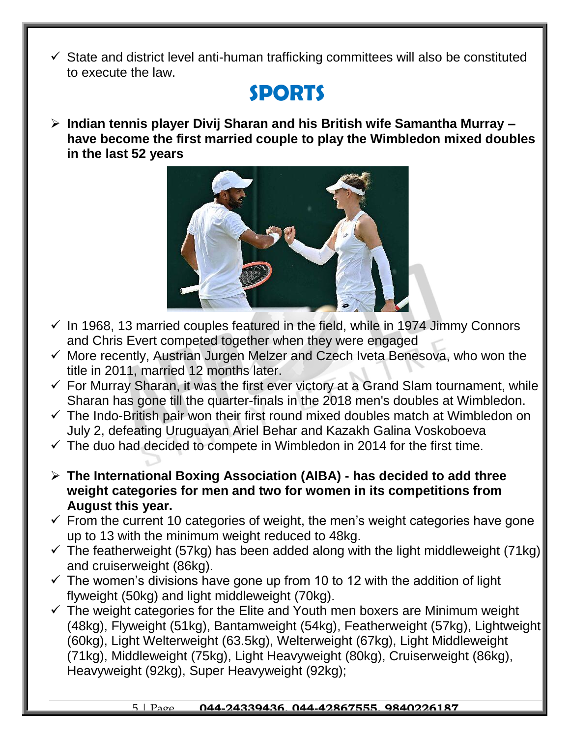$\checkmark$  State and district level anti-human trafficking committees will also be constituted to execute the law.

#### **SPORTS**

 **Indian tennis player Divij Sharan and his British wife Samantha Murray – have become the first married couple to play the Wimbledon mixed doubles in the last 52 years**



- $\checkmark$  In 1968, 13 married couples featured in the field, while in 1974 Jimmy Connors and Chris Evert competed together when they were engaged
- $\checkmark$  More recently, Austrian Jurgen Melzer and Czech Iveta Benesova, who won the title in 2011, married 12 months later.
- $\checkmark$  For Murray Sharan, it was the first ever victory at a Grand Slam tournament, while Sharan has gone till the quarter-finals in the 2018 men's doubles at Wimbledon.
- $\checkmark$  The Indo-British pair won their first round mixed doubles match at Wimbledon on July 2, defeating Uruguayan Ariel Behar and Kazakh Galina Voskoboeva
- $\checkmark$  The duo had decided to compete in Wimbledon in 2014 for the first time.
- **The International Boxing Association (AIBA) - has decided to add three weight categories for men and two for women in its competitions from August this year.**
- $\checkmark$  From the current 10 categories of weight, the men's weight categories have gone up to 13 with the minimum weight reduced to 48kg.
- $\checkmark$  The featherweight (57kg) has been added along with the light middleweight (71kg) and cruiserweight (86kg).
- $\checkmark$  The women's divisions have gone up from 10 to 12 with the addition of light flyweight (50kg) and light middleweight (70kg).
- $\checkmark$  The weight categories for the Elite and Youth men boxers are Minimum weight (48kg), Flyweight (51kg), Bantamweight (54kg), Featherweight (57kg), Lightweight (60kg), Light Welterweight (63.5kg), Welterweight (67kg), Light Middleweight (71kg), Middleweight (75kg), Light Heavyweight (80kg), Cruiserweight (86kg), Heavyweight (92kg), Super Heavyweight (92kg);